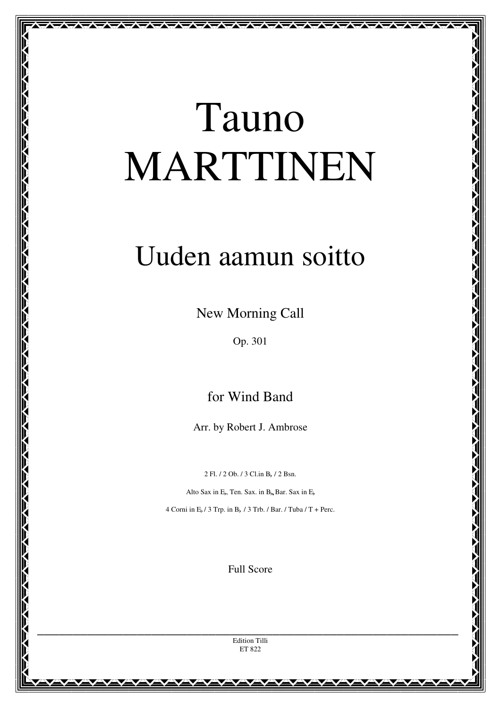# Tauno MARTTINEN

AAAAAAAAAAAAAAAAAAAAAAAAAAAAAAAA

# Uuden aamun soitto

New Morning Call

Op. 301

for Wind Band

Arr. by Robert J. Ambrose

2 Fl. / 2 Ob. / 3 Cl.in B<sub>b</sub> / 2 Bsn.

Alto Sax in E<sub>b</sub>, Ten. Sax. in B<sub>b</sub>, Bar. Sax in E<sub>b</sub>

4 Corni in  $E_b$  / 3 Trp. in  $B_b$  / 3 Trb. / Bar. / Tuba / T + Perc.

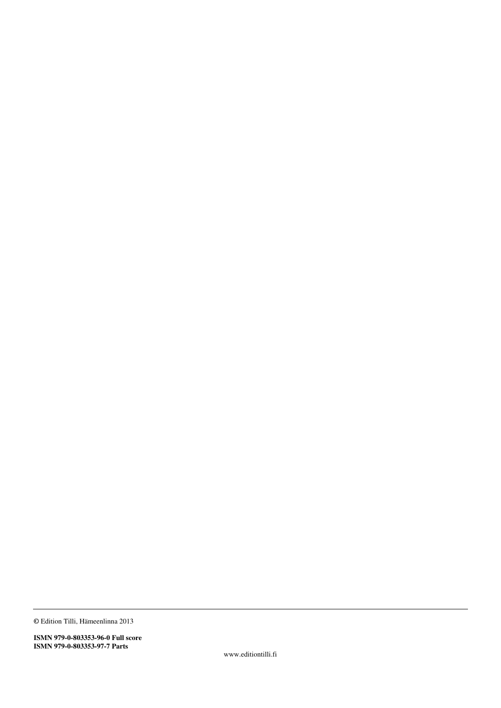**©** Edition Tilli, Hämeenlinna 2013

#### **ISMN 979-0-803353-96-0 Full score ISMN 979-0-803353-97-7 Parts**

www.editiontilli.fi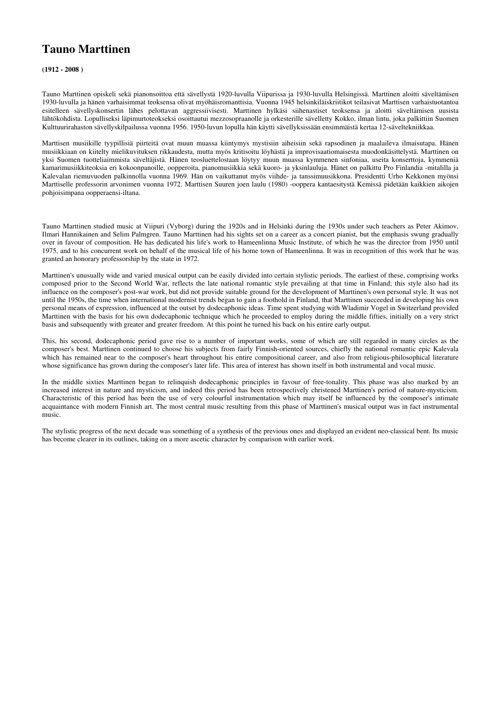## **Tauno Marttinen**

**(1912 - 2008 )** 

Tauno Marttinen opiskeli sekä pianonsoittoa että sävellystä 1920-luvulla Viipurissa ja 1930-luvulla Helsingissä. Marttinen aloitti säveltämisen 1930-luvulla ja hänen varhaisimmat teoksensa olivat myöhäisromanttisia. Vuonna 1945 helsinkiläiskriitikot teilasivat Marttisen varhaistuotantoa esitelleen sävellyskonsertin lähes pelottavan aggressiivisesti. Marttinen hylkäsi siihenastiset teoksensa ja aloitti säveltämisen uusista lähtökohdista. Lopulliseksi läpimurtoteokseksi osoittautui mezzosopraanolle ja orkesterille sävelletty Kokko, ilman lintu, joka palkittiin Suomen Kulttuurirahaston sävellyskilpailussa vuonna 1956. 1950-luvun lopulla hän käytti sävellyksissään ensimmäistä kertaa 12-säveltekniikkaa.

Marttisen musiikille tyypillisiä piirteitä ovat muun muassa kiintymys mystisiin aiheisiin sekä rapsodinen ja maalaileva ilmaisutapa. Hänen musiikkiaan on kiitelty mielikuvituksen rikkaudesta, mutta myös kritisoitu löyhästä ja improvisaatiomaisesta muodonkäsittelystä. Marttinen on yksi Suomen tuotteliaimmista säveltäjistä. Hänen teosluettelostaan löytyy muun muassa kymmenen sinfoniaa, useita konserttoja, kymmeniä kamarimusiikkiteoksia eri kokoonpanoille, oopperoita, pianomusiikkia sekä kuoro- ja yksinlauluja. Hänet on palkittu Pro Finlandia -mitalilla ja Kalevalan riemuvuoden palkinnolla vuonna 1969. Hän on vaikuttanut myös viihde- ja tanssimuusikkona. Presidentti Urho Kekkonen myönsi Marttiselle professorin arvonimen vuonna 1972. Marttisen Suuren joen laulu (1980) -ooppera kantaesitystä Kemissä pidetään kaikkien aikojen pohjoisimpana oopperaensi-iltana.

Tauno Marttinen studied music at Viipuri (Vyborg) during the 1920s and in Helsinki during the 1930s under such teachers as Peter Akimov, Ilmari Hannikainen and Selim Palmgren. Tauno Marttinen had his sights set on a career as a concert pianist, but the emphasis swung gradually over in favour of composition. He has dedicated his life's work to Hameenlinna Music Institute, of which he was the director from 1950 until 1975, and to his concurrent work on behalf of the musical life of his home town of Hameenlinna. It was in recognition of this work that he was granted an honorary professorship by the state in 1972.

Marttinen's unusually wide and varied musical output can be easily divided into certain stylistic periods. The earliest of these, comprising works composed prior to the Second World War, reflects the late national romantic style prevailing at that time in Finland; this style also had its influence on the composer's post-war work, but did not provide suitable ground for the development of Marttinen's own personal style. It was not until the 1950s, the time when international modernist trends began to gain a foothold in Finland, that Marttinen succeeded in developing his own personal means of expression, influenced at the outset by dodecaphonic ideas. Time spent studying with Wladimir Vogel in Switzerland provided Marttinen with the basis for his own dodecaphonic technique which he proceeded to employ during the middle fifties, initially on a very strict basis and subsequently with greater and greater freedom. At this point he turned his back on his entire early output.

This, his second, dodecaphonic period gave rise to a number of important works, some of which are still regarded in many circles as the composer's best. Marttinen continued to choose his subjects from fairly Finnish-oriented sources, chiefly the national romantic epic Kalevala which has remained near to the composer's heart throughout his entire compositional career, and also from religious-philosophical literature whose significance has grown during the composer's later life. This area of interest has shown itself in both instrumental and vocal music.

In the middle sixties Marttinen began to relinquish dodecaphonic principles in favour of free-tonality. This phase was also marked by an increased interest in nature and mysticism, and indeed this period has been retrospectively christened Marttinen's period of nature-mysticism. Characteristic of this period has been the use of very colourful instrumentation which may itself be influenced by the composer's intimate acquaintance with modern Finnish art. The most central music resulting from this phase of Marttinen's musical output was in fact instrumental music.

The stylistic progress of the next decade was something of a synthesis of the previous ones and displayed an evident neo-classical bent. Its music has become clearer in its outlines, taking on a more ascetic character by comparison with earlier work.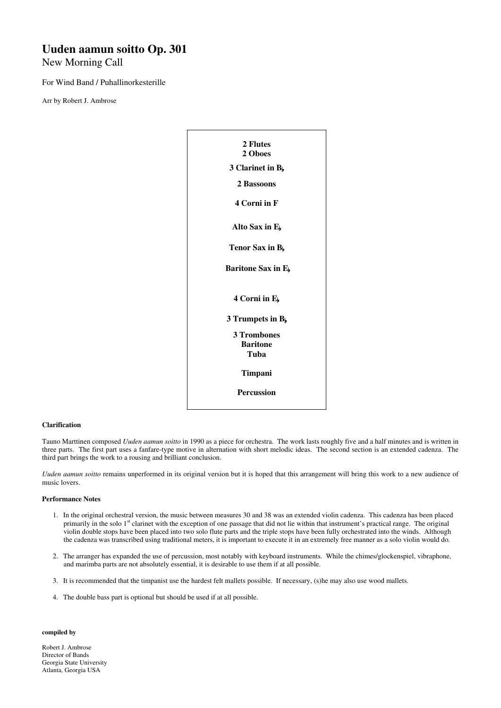# **Uuden aamun soitto Op. 301**

New Morning Call

For Wind Band / Puhallinorkesterille

Arr by Robert J. Ambrose

#### **Clarification**

Tauno Marttinen composed *Uuden aamun soitto* in 1990 as a piece for orchestra. The work lasts roughly five and a half minutes and is written in three parts. The first part uses a fanfare-type motive in alternation with short melodic ideas. The second section is an extended cadenza. The third part brings the work to a rousing and brilliant conclusion.

*Uuden aamun soitto* remains unperformed in its original version but it is hoped that this arrangement will bring this work to a new audience of music lovers.

#### **Performance Notes**

- 1. In the original orchestral version, the music between measures 30 and 38 was an extended violin cadenza. This cadenza has been placed primarily in the solo 1<sup>st</sup> clarinet with the exception of one passage that did not lie within that instrument's practical range. The original violin double stops have been placed into two solo flute parts and the triple stops have been fully orchestrated into the winds. Although
	- the cadenza was transcribed using traditional meters, it is important to execute it in an extremely free manner as a solo violin would do.
- 2. The arranger has expanded the use of percussion, most notably with keyboard instruments. While the chimes/glockenspiel, vibraphone, and marimba parts are not absolutely essential, it is desirable to use them if at all possible.
- 3. It is recommended that the timpanist use the hardest felt mallets possible. If necessary, (s)he may also use wood mallets.
- 4. The double bass part is optional but should be used if at all possible.

#### **compiled by**

Robert J. Ambrose Director of Bands Georgia State University Atlanta, Georgia USA

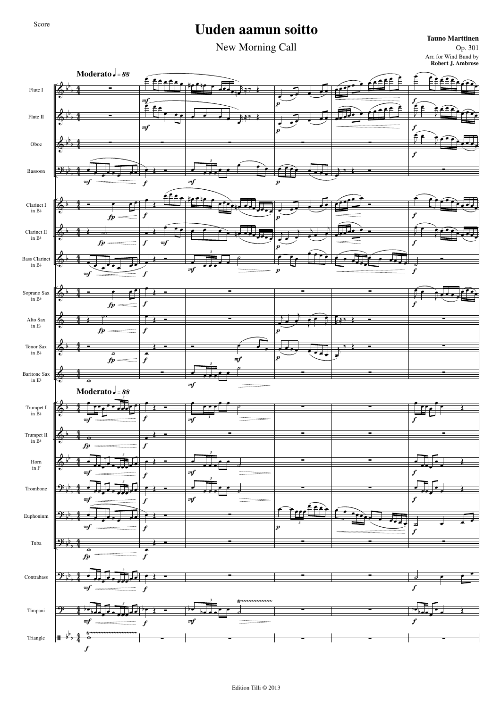

# **Uuden aamun soitto**

New Morning Call Op. 301

### **Tauno Marttinen** Arr. for Wind Band by **Robert J. Ambrose**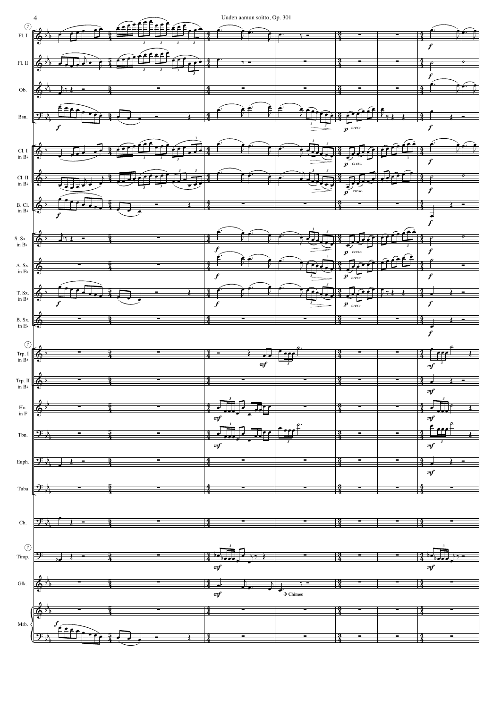

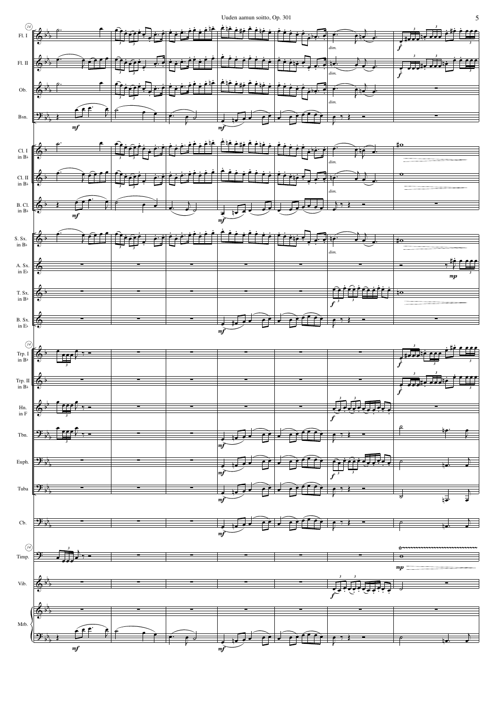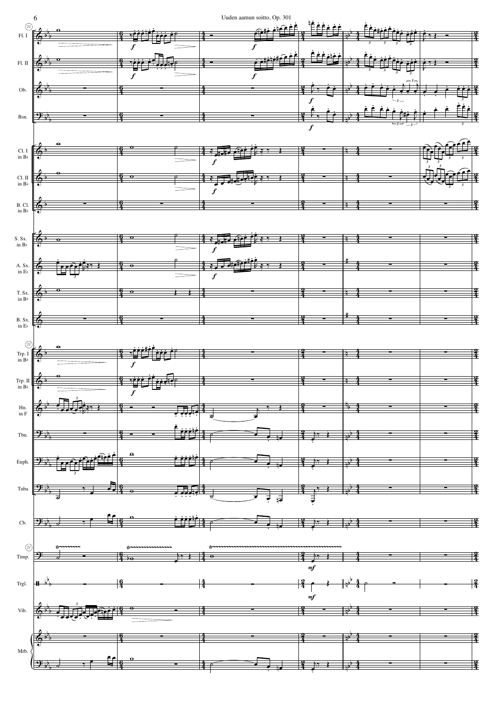

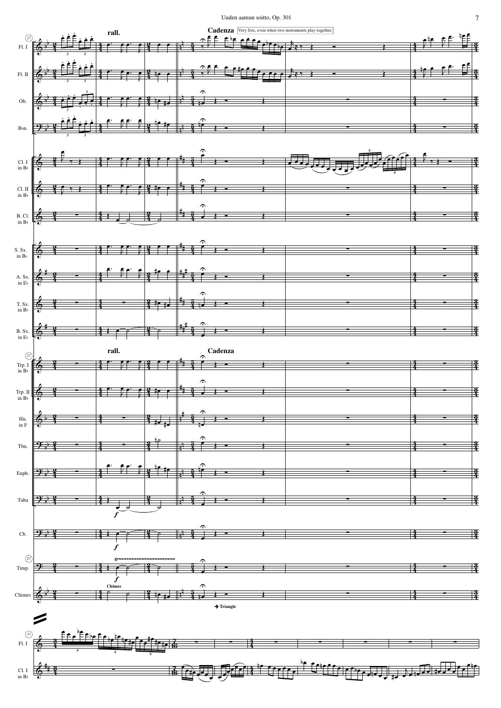Uuden aamun soitto, Op. 301 7

Cadenza **Very free**, even when two instruments play together.

![](_page_8_Figure_2.jpeg)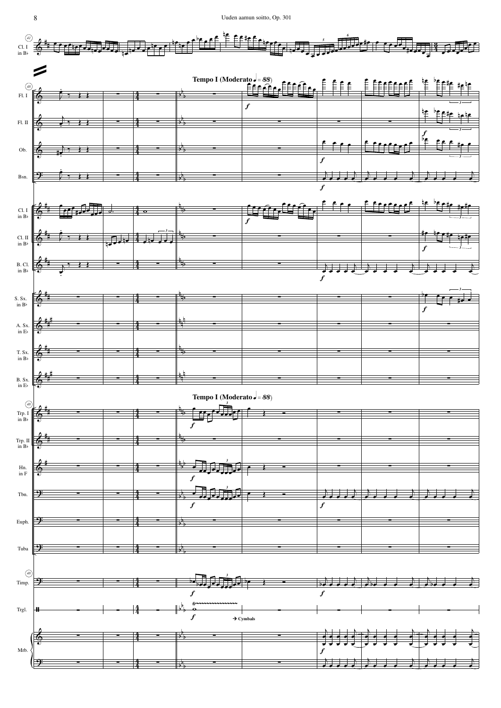![](_page_9_Figure_1.jpeg)

![](_page_9_Figure_3.jpeg)